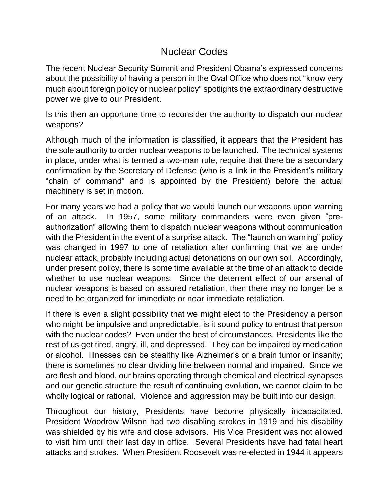## Nuclear Codes

The recent Nuclear Security Summit and President Obama's expressed concerns about the possibility of having a person in the Oval Office who does not "know very much about foreign policy or nuclear policy" spotlights the extraordinary destructive power we give to our President.

Is this then an opportune time to reconsider the authority to dispatch our nuclear weapons?

Although much of the information is classified, it appears that the President has the sole authority to order nuclear weapons to be launched. The technical systems in place, under what is termed a two-man rule, require that there be a secondary confirmation by the Secretary of Defense (who is a link in the President's military "chain of command" and is appointed by the President) before the actual machinery is set in motion.

For many years we had a policy that we would launch our weapons upon warning of an attack. In 1957, some military commanders were even given "preauthorization" allowing them to dispatch nuclear weapons without communication with the President in the event of a surprise attack. The "launch on warning" policy was changed in 1997 to one of retaliation after confirming that we are under nuclear attack, probably including actual detonations on our own soil. Accordingly, under present policy, there is some time available at the time of an attack to decide whether to use nuclear weapons. Since the deterrent effect of our arsenal of nuclear weapons is based on assured retaliation, then there may no longer be a need to be organized for immediate or near immediate retaliation.

If there is even a slight possibility that we might elect to the Presidency a person who might be impulsive and unpredictable, is it sound policy to entrust that person with the nuclear codes? Even under the best of circumstances, Presidents like the rest of us get tired, angry, ill, and depressed. They can be impaired by medication or alcohol. Illnesses can be stealthy like Alzheimer's or a brain tumor or insanity; there is sometimes no clear dividing line between normal and impaired. Since we are flesh and blood, our brains operating through chemical and electrical synapses and our genetic structure the result of continuing evolution, we cannot claim to be wholly logical or rational. Violence and aggression may be built into our design.

Throughout our history, Presidents have become physically incapacitated. President Woodrow Wilson had two disabling strokes in 1919 and his disability was shielded by his wife and close advisors. His Vice President was not allowed to visit him until their last day in office. Several Presidents have had fatal heart attacks and strokes. When President Roosevelt was re-elected in 1944 it appears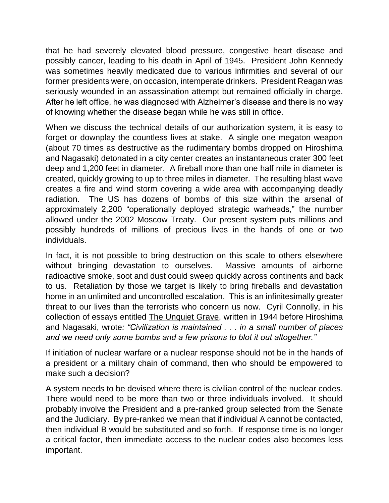that he had severely elevated blood pressure, congestive heart disease and possibly cancer, leading to his death in April of 1945. President John Kennedy was sometimes heavily medicated due to various infirmities and several of our former presidents were, on occasion, intemperate drinkers. President Reagan was seriously wounded in an assassination attempt but remained officially in charge. After he left office, he was diagnosed with Alzheimer's disease and there is no way of knowing whether the disease began while he was still in office.

When we discuss the technical details of our authorization system, it is easy to forget or downplay the countless lives at stake. A single one megaton weapon (about 70 times as destructive as the rudimentary bombs dropped on Hiroshima and Nagasaki) detonated in a city center creates an instantaneous crater 300 feet deep and 1,200 feet in diameter. A fireball more than one half mile in diameter is created, quickly growing to up to three miles in diameter. The resulting blast wave creates a fire and wind storm covering a wide area with accompanying deadly radiation. The US has dozens of bombs of this size within the arsenal of approximately 2,200 "operationally deployed strategic warheads," the number allowed under the 2002 Moscow Treaty. Our present system puts millions and possibly hundreds of millions of precious lives in the hands of one or two individuals.

In fact, it is not possible to bring destruction on this scale to others elsewhere without bringing devastation to ourselves. Massive amounts of airborne radioactive smoke, soot and dust could sweep quickly across continents and back to us. Retaliation by those we target is likely to bring fireballs and devastation home in an unlimited and uncontrolled escalation. This is an infinitesimally greater threat to our lives than the terrorists who concern us now. Cyril Connolly, in his collection of essays entitled The Unquiet Grave, written in 1944 before Hiroshima and Nagasaki, wrote*: "Civilization is maintained . . . in a small number of places and we need only some bombs and a few prisons to blot it out altogether."*

If initiation of nuclear warfare or a nuclear response should not be in the hands of a president or a military chain of command, then who should be empowered to make such a decision?

A system needs to be devised where there is civilian control of the nuclear codes. There would need to be more than two or three individuals involved. It should probably involve the President and a pre-ranked group selected from the Senate and the Judiciary. By pre-ranked we mean that if individual A cannot be contacted, then individual B would be substituted and so forth. If response time is no longer a critical factor, then immediate access to the nuclear codes also becomes less important.